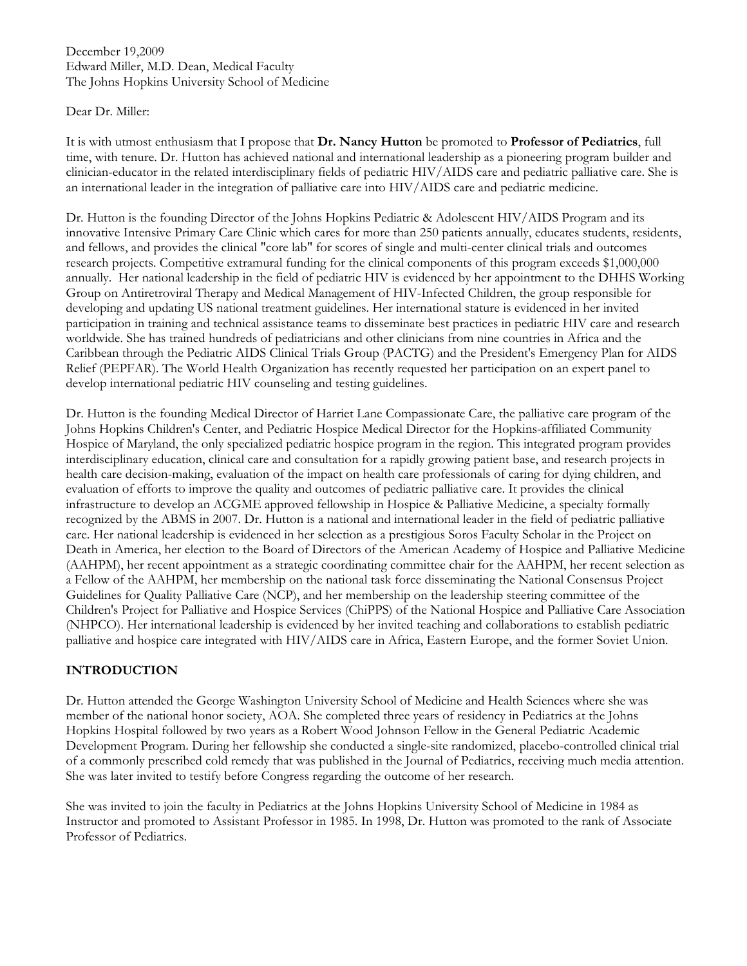December 19,2009 Edward Miller, M.D. Dean, Medical Faculty The Johns Hopkins University School of Medicine

# Dear Dr. Miller:

It is with utmost enthusiasm that I propose that **Dr. Nancy Hutton** be promoted to **Professor of Pediatrics**, full time, with tenure. Dr. Hutton has achieved national and international leadership as a pioneering program builder and clinician-educator in the related interdisciplinary fields of pediatric HIV/AIDS care and pediatric palliative care. She is an international leader in the integration of palliative care into HIV/AIDS care and pediatric medicine.

Dr. Hutton is the founding Director of the Johns Hopkins Pediatric & Adolescent HIV/AIDS Program and its innovative Intensive Primary Care Clinic which cares for more than 250 patients annually, educates students, residents, and fellows, and provides the clinical "core lab" for scores of single and multi-center clinical trials and outcomes research projects. Competitive extramural funding for the clinical components of this program exceeds \$1,000,000 annually. Her national leadership in the field of pediatric HIV is evidenced by her appointment to the DHHS Working Group on Antiretroviral Therapy and Medical Management of HIV-Infected Children, the group responsible for developing and updating US national treatment guidelines. Her international stature is evidenced in her invited participation in training and technical assistance teams to disseminate best practices in pediatric HIV care and research worldwide. She has trained hundreds of pediatricians and other clinicians from nine countries in Africa and the Caribbean through the Pediatric AIDS Clinical Trials Group (PACTG) and the President's Emergency Plan for AIDS Relief (PEPFAR). The World Health Organization has recently requested her participation on an expert panel to develop international pediatric HIV counseling and testing guidelines.

Dr. Hutton is the founding Medical Director of Harriet Lane Compassionate Care, the palliative care program of the Johns Hopkins Children's Center, and Pediatric Hospice Medical Director for the Hopkins-affiliated Community Hospice of Maryland, the only specialized pediatric hospice program in the region. This integrated program provides interdisciplinary education, clinical care and consultation for a rapidly growing patient base, and research projects in health care decision-making, evaluation of the impact on health care professionals of caring for dying children, and evaluation of efforts to improve the quality and outcomes of pediatric palliative care. It provides the clinical infrastructure to develop an ACGME approved fellowship in Hospice & Palliative Medicine, a specialty formally recognized by the ABMS in 2007. Dr. Hutton is a national and international leader in the field of pediatric palliative care. Her national leadership is evidenced in her selection as a prestigious Soros Faculty Scholar in the Project on Death in America, her election to the Board of Directors of the American Academy of Hospice and Palliative Medicine (AAHPM), her recent appointment as a strategic coordinating committee chair for the AAHPM, her recent selection as a Fellow of the AAHPM, her membership on the national task force disseminating the National Consensus Project Guidelines for Quality Palliative Care (NCP), and her membership on the leadership steering committee of the Children's Project for Palliative and Hospice Services (ChiPPS) of the National Hospice and Palliative Care Association (NHPCO). Her international leadership is evidenced by her invited teaching and collaborations to establish pediatric palliative and hospice care integrated with HIV/AIDS care in Africa, Eastern Europe, and the former Soviet Union.

# **INTRODUCTION**

Dr. Hutton attended the George Washington University School of Medicine and Health Sciences where she was member of the national honor society, AOA. She completed three years of residency in Pediatrics at the Johns Hopkins Hospital followed by two years as a Robert Wood Johnson Fellow in the General Pediatric Academic Development Program. During her fellowship she conducted a single-site randomized, placebo-controlled clinical trial of a commonly prescribed cold remedy that was published in the Journal of Pediatrics, receiving much media attention. She was later invited to testify before Congress regarding the outcome of her research.

She was invited to join the faculty in Pediatrics at the Johns Hopkins University School of Medicine in 1984 as Instructor and promoted to Assistant Professor in 1985. In 1998, Dr. Hutton was promoted to the rank of Associate Professor of Pediatrics.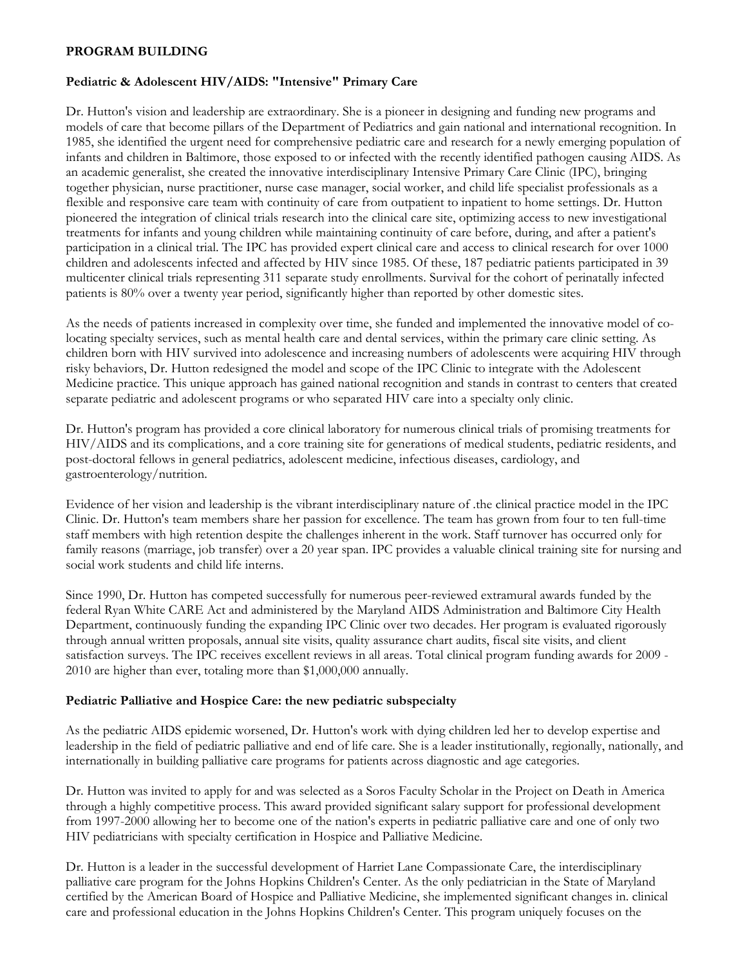# **PROGRAM BUILDING**

#### **Pediatric & Adolescent HIV/AIDS: "Intensive" Primary Care**

Dr. Hutton's vision and leadership are extraordinary. She is a pioneer in designing and funding new programs and models of care that become pillars of the Department of Pediatrics and gain national and international recognition. In 1985, she identified the urgent need for comprehensive pediatric care and research for a newly emerging population of infants and children in Baltimore, those exposed to or infected with the recently identified pathogen causing AIDS. As an academic generalist, she created the innovative interdisciplinary Intensive Primary Care Clinic (IPC), bringing together physician, nurse practitioner, nurse case manager, social worker, and child life specialist professionals as a flexible and responsive care team with continuity of care from outpatient to inpatient to home settings. Dr. Hutton pioneered the integration of clinical trials research into the clinical care site, optimizing access to new investigational treatments for infants and young children while maintaining continuity of care before, during, and after a patient's participation in a clinical trial. The IPC has provided expert clinical care and access to clinical research for over 1000 children and adolescents infected and affected by HIV since 1985. Of these, 187 pediatric patients participated in 39 multicenter clinical trials representing 311 separate study enrollments. Survival for the cohort of perinatally infected patients is 80% over a twenty year period, significantly higher than reported by other domestic sites.

As the needs of patients increased in complexity over time, she funded and implemented the innovative model of colocating specialty services, such as mental health care and dental services, within the primary care clinic setting. As children born with HIV survived into adolescence and increasing numbers of adolescents were acquiring HIV through risky behaviors, Dr. Hutton redesigned the model and scope of the IPC Clinic to integrate with the Adolescent Medicine practice. This unique approach has gained national recognition and stands in contrast to centers that created separate pediatric and adolescent programs or who separated HIV care into a specialty only clinic.

Dr. Hutton's program has provided a core clinical laboratory for numerous clinical trials of promising treatments for HIV/AIDS and its complications, and a core training site for generations of medical students, pediatric residents, and post-doctoral fellows in general pediatrics, adolescent medicine, infectious diseases, cardiology, and gastroenterology/nutrition.

Evidence of her vision and leadership is the vibrant interdisciplinary nature of .the clinical practice model in the IPC Clinic. Dr. Hutton's team members share her passion for excellence. The team has grown from four to ten full-time staff members with high retention despite the challenges inherent in the work. Staff turnover has occurred only for family reasons (marriage, job transfer) over a 20 year span. IPC provides a valuable clinical training site for nursing and social work students and child life interns.

Since 1990, Dr. Hutton has competed successfully for numerous peer-reviewed extramural awards funded by the federal Ryan White CARE Act and administered by the Maryland AIDS Administration and Baltimore City Health Department, continuously funding the expanding IPC Clinic over two decades. Her program is evaluated rigorously through annual written proposals, annual site visits, quality assurance chart audits, fiscal site visits, and client satisfaction surveys. The IPC receives excellent reviews in all areas. Total clinical program funding awards for 2009 - 2010 are higher than ever, totaling more than \$1,000,000 annually.

#### **Pediatric Palliative and Hospice Care: the new pediatric subspecialty**

As the pediatric AIDS epidemic worsened, Dr. Hutton's work with dying children led her to develop expertise and leadership in the field of pediatric palliative and end of life care. She is a leader institutionally, regionally, nationally, and internationally in building palliative care programs for patients across diagnostic and age categories.

Dr. Hutton was invited to apply for and was selected as a Soros Faculty Scholar in the Project on Death in America through a highly competitive process. This award provided significant salary support for professional development from 1997-2000 allowing her to become one of the nation's experts in pediatric palliative care and one of only two HIV pediatricians with specialty certification in Hospice and Palliative Medicine.

Dr. Hutton is a leader in the successful development of Harriet Lane Compassionate Care, the interdisciplinary palliative care program for the Johns Hopkins Children's Center. As the only pediatrician in the State of Maryland certified by the American Board of Hospice and Palliative Medicine, she implemented significant changes in. clinical care and professional education in the Johns Hopkins Children's Center. This program uniquely focuses on the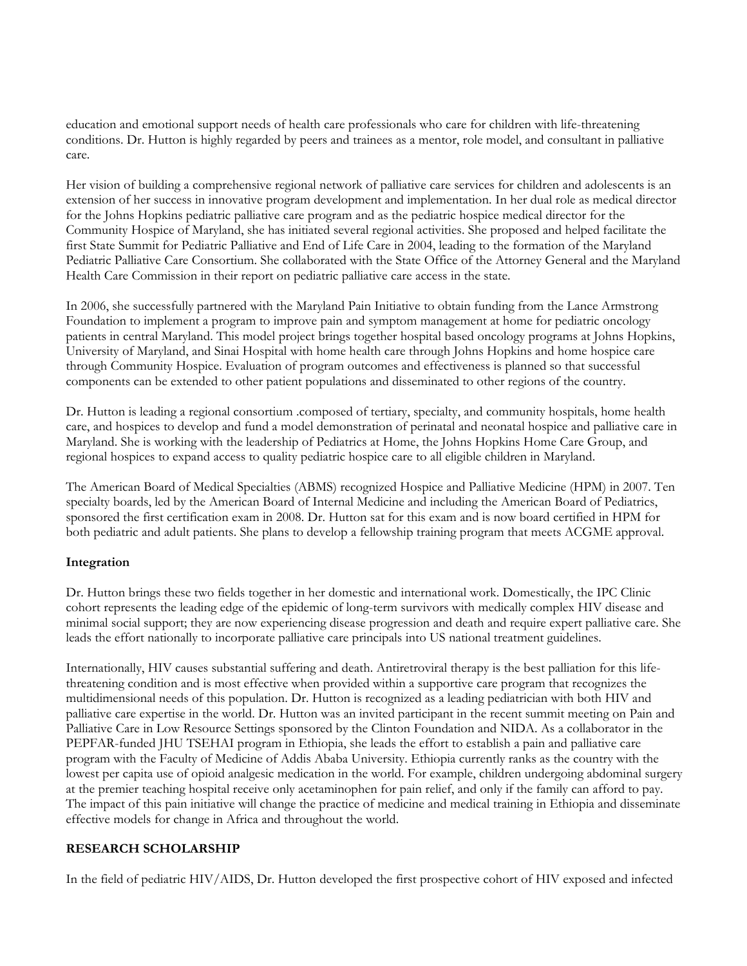education and emotional support needs of health care professionals who care for children with life-threatening conditions. Dr. Hutton is highly regarded by peers and trainees as a mentor, role model, and consultant in palliative care.

Her vision of building a comprehensive regional network of palliative care services for children and adolescents is an extension of her success in innovative program development and implementation. In her dual role as medical director for the Johns Hopkins pediatric palliative care program and as the pediatric hospice medical director for the Community Hospice of Maryland, she has initiated several regional activities. She proposed and helped facilitate the first State Summit for Pediatric Palliative and End of Life Care in 2004, leading to the formation of the Maryland Pediatric Palliative Care Consortium. She collaborated with the State Office of the Attorney General and the Maryland Health Care Commission in their report on pediatric palliative care access in the state.

In 2006, she successfully partnered with the Maryland Pain Initiative to obtain funding from the Lance Armstrong Foundation to implement a program to improve pain and symptom management at home for pediatric oncology patients in central Maryland. This model project brings together hospital based oncology programs at Johns Hopkins, University of Maryland, and Sinai Hospital with home health care through Johns Hopkins and home hospice care through Community Hospice. Evaluation of program outcomes and effectiveness is planned so that successful components can be extended to other patient populations and disseminated to other regions of the country.

Dr. Hutton is leading a regional consortium .composed of tertiary, specialty, and community hospitals, home health care, and hospices to develop and fund a model demonstration of perinatal and neonatal hospice and palliative care in Maryland. She is working with the leadership of Pediatrics at Home, the Johns Hopkins Home Care Group, and regional hospices to expand access to quality pediatric hospice care to all eligible children in Maryland.

The American Board of Medical Specialties (ABMS) recognized Hospice and Palliative Medicine (HPM) in 2007. Ten specialty boards, led by the American Board of Internal Medicine and including the American Board of Pediatrics, sponsored the first certification exam in 2008. Dr. Hutton sat for this exam and is now board certified in HPM for both pediatric and adult patients. She plans to develop a fellowship training program that meets ACGME approval.

# **Integration**

Dr. Hutton brings these two fields together in her domestic and international work. Domestically, the IPC Clinic cohort represents the leading edge of the epidemic of long-term survivors with medically complex HIV disease and minimal social support; they are now experiencing disease progression and death and require expert palliative care. She leads the effort nationally to incorporate palliative care principals into US national treatment guidelines.

Internationally, HIV causes substantial suffering and death. Antiretroviral therapy is the best palliation for this lifethreatening condition and is most effective when provided within a supportive care program that recognizes the multidimensional needs of this population. Dr. Hutton is recognized as a leading pediatrician with both HIV and palliative care expertise in the world. Dr. Hutton was an invited participant in the recent summit meeting on Pain and Palliative Care in Low Resource Settings sponsored by the Clinton Foundation and NIDA. As a collaborator in the PEPFAR-funded JHU TSEHAI program in Ethiopia, she leads the effort to establish a pain and palliative care program with the Faculty of Medicine of Addis Ababa University. Ethiopia currently ranks as the country with the lowest per capita use of opioid analgesic medication in the world. For example, children undergoing abdominal surgery at the premier teaching hospital receive only acetaminophen for pain relief, and only if the family can afford to pay. The impact of this pain initiative will change the practice of medicine and medical training in Ethiopia and disseminate effective models for change in Africa and throughout the world.

# **RESEARCH SCHOLARSHIP**

In the field of pediatric HIV/AIDS, Dr. Hutton developed the first prospective cohort of HIV exposed and infected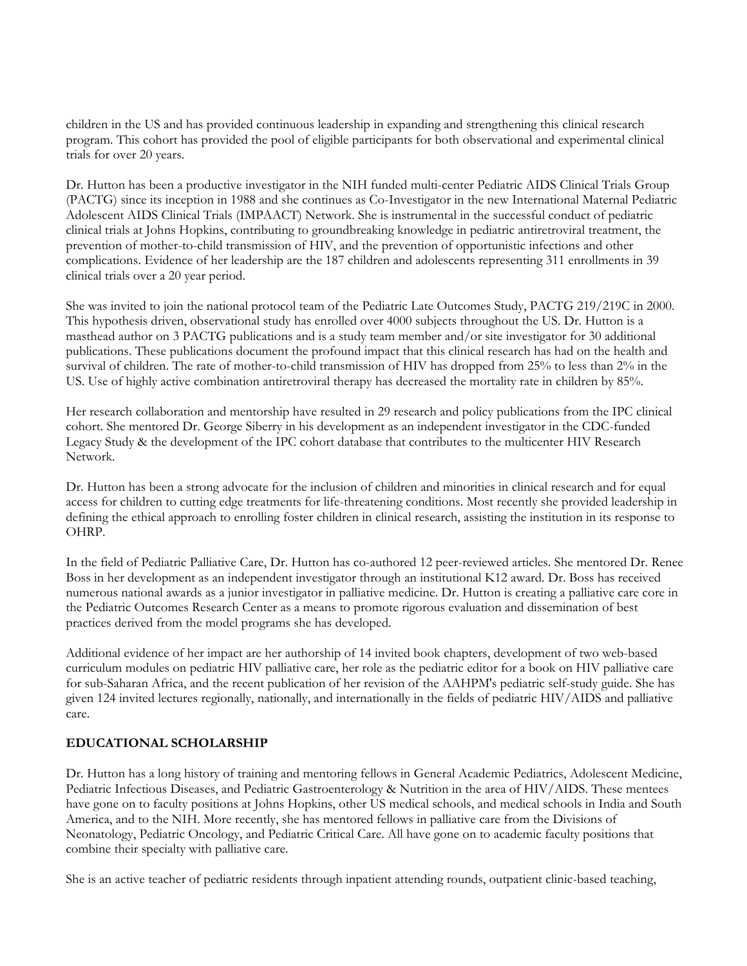children in the US and has provided continuous leadership in expanding and strengthening this clinical research program. This cohort has provided the pool of eligible participants for both observational and experimental clinical trials for over 20 years.

Dr. Hutton has been a productive investigator in the NIH funded multi-center Pediatric AIDS Clinical Trials Group (PACTG) since its inception in 1988 and she continues as Co-Investigator in the new International Maternal Pediatric Adolescent AIDS Clinical Trials (IMPAACT) Network. She is instrumental in the successful conduct of pediatric clinical trials at Johns Hopkins, contributing to groundbreaking knowledge in pediatric antiretroviral treatment, the prevention of mother-to-child transmission of HIV, and the prevention of opportunistic infections and other complications. Evidence of her leadership are the 187 children and adolescents representing 311 enrollments in 39 clinical trials over a 20 year period.

She was invited to join the national protocol team of the Pediatric Late Outcomes Study, PACTG 219/219C in 2000. This hypothesis driven, observational study has enrolled over 4000 subjects throughout the US. Dr. Hutton is a masthead author on 3 PACTG publications and is a study team member and/or site investigator for 30 additional publications. These publications document the profound impact that this clinical research has had on the health and survival of children. The rate of mother-to-child transmission of HIV has dropped from 25% to less than 2% in the US. Use of highly active combination antiretroviral therapy has decreased the mortality rate in children by 85%.

Her research collaboration and mentorship have resulted in 29 research and policy publications from the IPC clinical cohort. She mentored Dr. George Siberry in his development as an independent investigator in the CDC-funded Legacy Study & the development of the IPC cohort database that contributes to the multicenter HIV Research Network.

Dr. Hutton has been a strong advocate for the inclusion of children and minorities in clinical research and for equal access for children to cutting edge treatments for life-threatening conditions. Most recently she provided leadership in defining the ethical approach to enrolling foster children in clinical research, assisting the institution in its response to OHRP.

In the field of Pediatric Palliative Care, Dr. Hutton has co-authored 12 peer-reviewed articles. She mentored Dr. Renee Boss in her development as an independent investigator through an institutional K12 award. Dr. Boss has received numerous national awards as a junior investigator in palliative medicine. Dr. Hutton is creating a palliative care core in the Pediatric Outcomes Research Center as a means to promote rigorous evaluation and dissemination of best practices derived from the model programs she has developed.

Additional evidence of her impact are her authorship of 14 invited book chapters, development of two web-based curriculum modules on pediatric HIV palliative care, her role as the pediatric editor for a book on HIV palliative care for sub-Saharan Africa, and the recent publication of her revision of the AAHPM's pediatric self-study guide. She has given 124 invited lectures regionally, nationally, and internationally in the fields of pediatric HIV/AIDS and palliative care.

# **EDUCATIONAL SCHOLARSHIP**

Dr. Hutton has a long history of training and mentoring fellows in General Academic Pediatrics, Adolescent Medicine, Pediatric Infectious Diseases, and Pediatric Gastroenterology & Nutrition in the area of HIV/AIDS. These mentees have gone on to faculty positions at Johns Hopkins, other US medical schools, and medical schools in India and South America, and to the NIH. More recently, she has mentored fellows in palliative care from the Divisions of Neonatology, Pediatric Oncology, and Pediatric Critical Care. All have gone on to academic faculty positions that combine their specialty with palliative care.

She is an active teacher of pediatric residents through inpatient attending rounds, outpatient clinic-based teaching,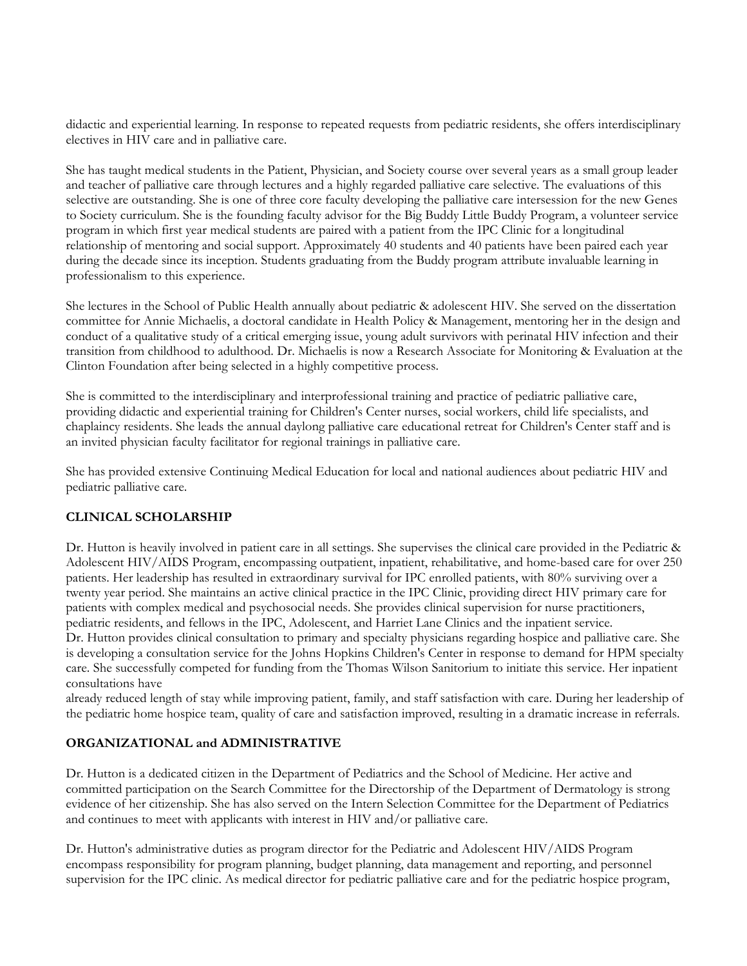didactic and experiential learning. In response to repeated requests from pediatric residents, she offers interdisciplinary electives in HIV care and in palliative care.

She has taught medical students in the Patient, Physician, and Society course over several years as a small group leader and teacher of palliative care through lectures and a highly regarded palliative care selective. The evaluations of this selective are outstanding. She is one of three core faculty developing the palliative care intersession for the new Genes to Society curriculum. She is the founding faculty advisor for the Big Buddy Little Buddy Program, a volunteer service program in which first year medical students are paired with a patient from the IPC Clinic for a longitudinal relationship of mentoring and social support. Approximately 40 students and 40 patients have been paired each year during the decade since its inception. Students graduating from the Buddy program attribute invaluable learning in professionalism to this experience.

She lectures in the School of Public Health annually about pediatric & adolescent HIV. She served on the dissertation committee for Annie Michaelis, a doctoral candidate in Health Policy & Management, mentoring her in the design and conduct of a qualitative study of a critical emerging issue, young adult survivors with perinatal HIV infection and their transition from childhood to adulthood. Dr. Michaelis is now a Research Associate for Monitoring & Evaluation at the Clinton Foundation after being selected in a highly competitive process.

She is committed to the interdisciplinary and interprofessional training and practice of pediatric palliative care, providing didactic and experiential training for Children's Center nurses, social workers, child life specialists, and chaplaincy residents. She leads the annual daylong palliative care educational retreat for Children's Center staff and is an invited physician faculty facilitator for regional trainings in palliative care.

She has provided extensive Continuing Medical Education for local and national audiences about pediatric HIV and pediatric palliative care.

# **CLINICAL SCHOLARSHIP**

Dr. Hutton is heavily involved in patient care in all settings. She supervises the clinical care provided in the Pediatric & Adolescent HIV/AIDS Program, encompassing outpatient, inpatient, rehabilitative, and home-based care for over 250 patients. Her leadership has resulted in extraordinary survival for IPC enrolled patients, with 80% surviving over a twenty year period. She maintains an active clinical practice in the IPC Clinic, providing direct HIV primary care for patients with complex medical and psychosocial needs. She provides clinical supervision for nurse practitioners, pediatric residents, and fellows in the IPC, Adolescent, and Harriet Lane Clinics and the inpatient service.

Dr. Hutton provides clinical consultation to primary and specialty physicians regarding hospice and palliative care. She is developing a consultation service for the Johns Hopkins Children's Center in response to demand for HPM specialty care. She successfully competed for funding from the Thomas Wilson Sanitorium to initiate this service. Her inpatient consultations have

already reduced length of stay while improving patient, family, and staff satisfaction with care. During her leadership of the pediatric home hospice team, quality of care and satisfaction improved, resulting in a dramatic increase in referrals.

# **ORGANIZATIONAL and ADMINISTRATIVE**

Dr. Hutton is a dedicated citizen in the Department of Pediatrics and the School of Medicine. Her active and committed participation on the Search Committee for the Directorship of the Department of Dermatology is strong evidence of her citizenship. She has also served on the Intern Selection Committee for the Department of Pediatrics and continues to meet with applicants with interest in HIV and/or palliative care.

Dr. Hutton's administrative duties as program director for the Pediatric and Adolescent HIV/AIDS Program encompass responsibility for program planning, budget planning, data management and reporting, and personnel supervision for the IPC clinic. As medical director for pediatric palliative care and for the pediatric hospice program,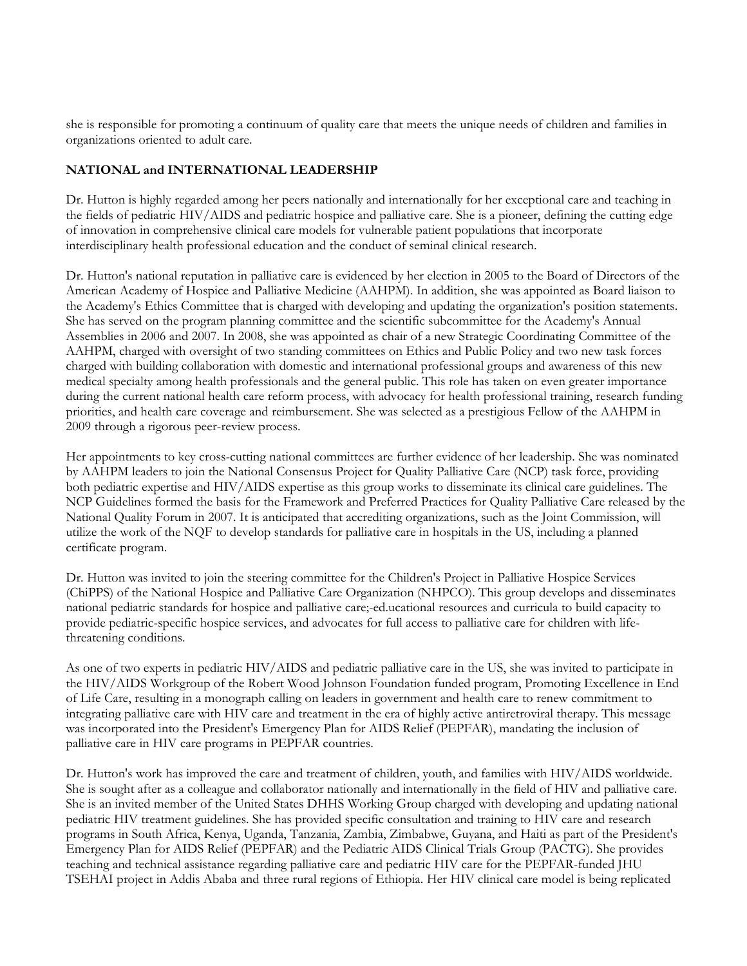she is responsible for promoting a continuum of quality care that meets the unique needs of children and families in organizations oriented to adult care.

#### **NATIONAL and INTERNATIONAL LEADERSHIP**

Dr. Hutton is highly regarded among her peers nationally and internationally for her exceptional care and teaching in the fields of pediatric HIV/AIDS and pediatric hospice and palliative care. She is a pioneer, defining the cutting edge of innovation in comprehensive clinical care models for vulnerable patient populations that incorporate interdisciplinary health professional education and the conduct of seminal clinical research.

Dr. Hutton's national reputation in palliative care is evidenced by her election in 2005 to the Board of Directors of the American Academy of Hospice and Palliative Medicine (AAHPM). In addition, she was appointed as Board liaison to the Academy's Ethics Committee that is charged with developing and updating the organization's position statements. She has served on the program planning committee and the scientific subcommittee for the Academy's Annual Assemblies in 2006 and 2007. In 2008, she was appointed as chair of a new Strategic Coordinating Committee of the AAHPM, charged with oversight of two standing committees on Ethics and Public Policy and two new task forces charged with building collaboration with domestic and international professional groups and awareness of this new medical specialty among health professionals and the general public. This role has taken on even greater importance during the current national health care reform process, with advocacy for health professional training, research funding priorities, and health care coverage and reimbursement. She was selected as a prestigious Fellow of the AAHPM in 2009 through a rigorous peer-review process.

Her appointments to key cross-cutting national committees are further evidence of her leadership. She was nominated by AAHPM leaders to join the National Consensus Project for Quality Palliative Care (NCP) task force, providing both pediatric expertise and HIV/AIDS expertise as this group works to disseminate its clinical care guidelines. The NCP Guidelines formed the basis for the Framework and Preferred Practices for Quality Palliative Care released by the National Quality Forum in 2007. It is anticipated that accrediting organizations, such as the Joint Commission, will utilize the work of the NQF to develop standards for palliative care in hospitals in the US, including a planned certificate program.

Dr. Hutton was invited to join the steering committee for the Children's Project in Palliative Hospice Services (ChiPPS) of the National Hospice and Palliative Care Organization (NHPCO). This group develops and disseminates national pediatric standards for hospice and palliative care;-ed.ucational resources and curricula to build capacity to provide pediatric-specific hospice services, and advocates for full access to palliative care for children with lifethreatening conditions.

As one of two experts in pediatric HIV/AIDS and pediatric palliative care in the US, she was invited to participate in the HIV/AIDS Workgroup of the Robert Wood Johnson Foundation funded program, Promoting Excellence in End of Life Care, resulting in a monograph calling on leaders in government and health care to renew commitment to integrating palliative care with HIV care and treatment in the era of highly active antiretroviral therapy. This message was incorporated into the President's Emergency Plan for AIDS Relief (PEPFAR), mandating the inclusion of palliative care in HIV care programs in PEPFAR countries.

Dr. Hutton's work has improved the care and treatment of children, youth, and families with HIV/AIDS worldwide. She is sought after as a colleague and collaborator nationally and internationally in the field of HIV and palliative care. She is an invited member of the United States DHHS Working Group charged with developing and updating national pediatric HIV treatment guidelines. She has provided specific consultation and training to HIV care and research programs in South Africa, Kenya, Uganda, Tanzania, Zambia, Zimbabwe, Guyana, and Haiti as part of the President's Emergency Plan for AIDS Relief (PEPFAR) and the Pediatric AIDS Clinical Trials Group (PACTG). She provides teaching and technical assistance regarding palliative care and pediatric HIV care for the PEPFAR-funded JHU TSEHAI project in Addis Ababa and three rural regions of Ethiopia. Her HIV clinical care model is being replicated